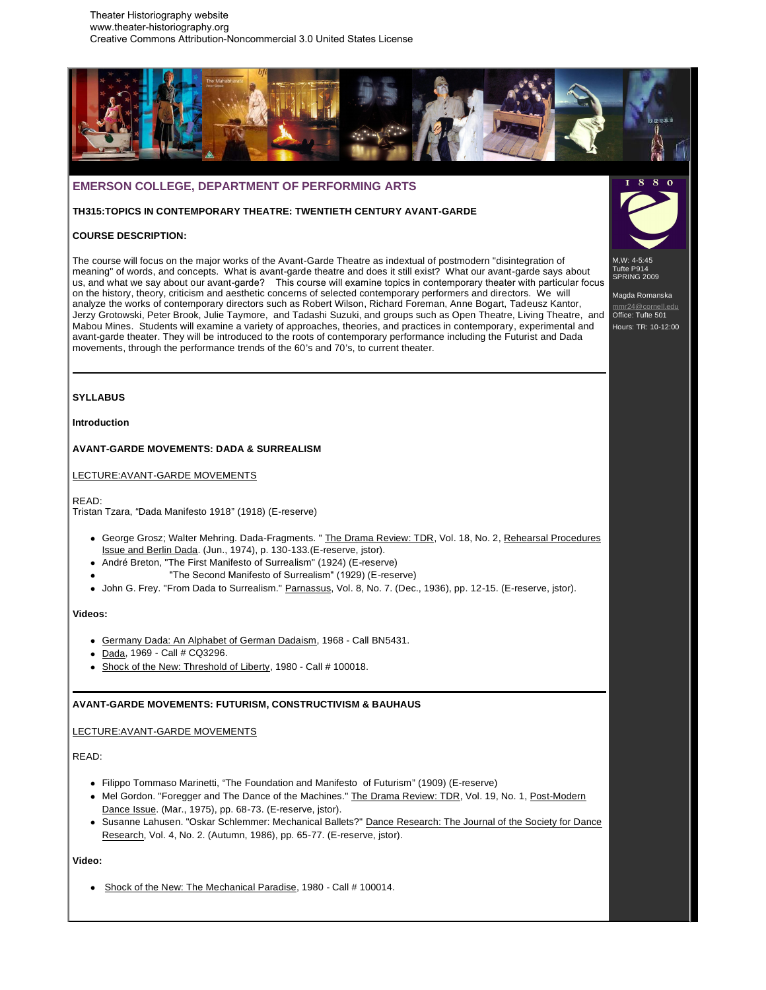

# **EMERSON COLLEGE, DEPARTMENT OF PERFORMING ARTS**

# **TH315:TOPICS IN CONTEMPORARY THEATRE: TWENTIETH CENTURY AVANT-GARDE**

# **COURSE DESCRIPTION:**

The course will focus on the major works of the Avant-Garde Theatre as indextual of postmodern "disintegration of meaning" of words, and concepts. What is avant-garde theatre and does it still exist? What our avant-garde says about us, and what we say about our avant-garde? This course will examine topics in contemporary theater with particular focus on the history, theory, criticism and aesthetic concerns of selected contemporary performers and directors. We will analyze the works of contemporary directors such as Robert Wilson, Richard Foreman, Anne Bogart, Tadeusz Kantor, Jerzy Grotowski, Peter Brook, Julie Taymore, and Tadashi Suzuki, and groups such as Open Theatre, Living Theatre, and Mabou Mines. Students will examine a variety of approaches, theories, and practices in contemporary, experimental and avant-garde theater. They will be introduced to the roots of contemporary performance including the Futurist and Dada movements, through the performance trends of the 60's and 70's, to current theater.

M,W: 4-5:45 Tufte P914 SPRING 2009

Magda Romanska mmr24@cornell.edu Office: Tufte 501 Hours: TR: 10-12:00

## **SYLLABUS**

**Introduction**

# **AVANT-GARDE MOVEMENTS: DADA & SURREALISM**

LECTURE:AVANT-GARDE MOVEMENTS

READ:

Tristan Tzara, "Dada Manifesto 1918" (1918) (E-reserve)

- George Grosz; Walter Mehring. Dada-Fragments. " The Drama Review: TDR, Vol. 18, No. 2, Rehearsal Procedures Issue and Berlin Dada. (Jun., 1974), p. 130-133.(E-reserve, jstor).
- André Breton, "The First Manifesto of Surrealism" (1924) (E-reserve)
	- "The Second Manifesto of Surrealism" (1929) (E-reserve)
- John G. Frey. "From Dada to Surrealism." Parnassus, Vol. 8, No. 7. (Dec., 1936), pp. 12-15. (E-reserve, jstor).

**Videos:**

- Germany Dada: An Alphabet of German Dadaism, 1968 Call BN5431.
- Dada, 1969 Call # CQ3296.
- Shock of the New: Threshold of Liberty, 1980 Call # 100018.

# **AVANT-GARDE MOVEMENTS: FUTURISM, CONSTRUCTIVISM & BAUHAUS**

LECTURE:AVANT-GARDE MOVEMENTS

READ:

- Filippo Tommaso Marinetti, "The Foundation and Manifesto of Futurism" (1909) (E-reserve)
- Mel Gordon. "Foregger and The Dance of the Machines." The Drama Review: TDR, Vol. 19, No. 1, Post-Modern Dance Issue. (Mar., 1975), pp. 68-73. (E-reserve, jstor).
- Susanne Lahusen. "Oskar Schlemmer: Mechanical Ballets?" Dance Research: The Journal of the Society for Dance Research, Vol. 4, No. 2. (Autumn, 1986), pp. 65-77. (E-reserve, jstor).

**Video:**

• Shock of the New: The Mechanical Paradise, 1980 - Call # 100014.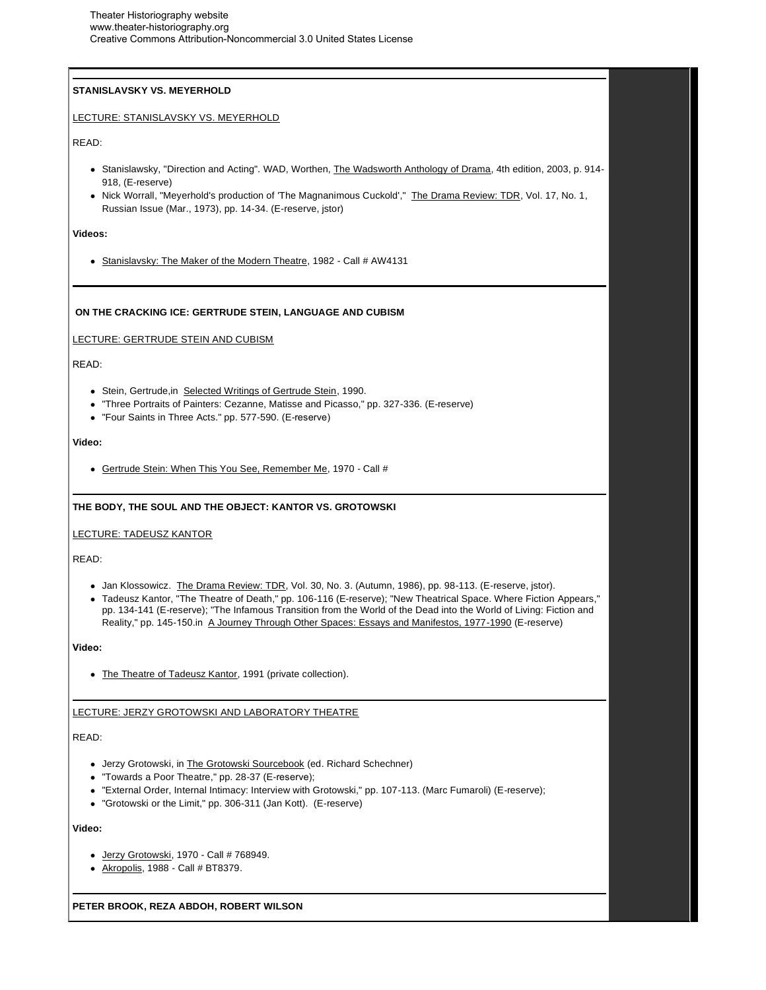# **STANISLAVSKY VS. MEYERHOLD**

# LECTURE: STANISLAVSKY VS. MEYERHOLD

READ:

- Stanislawsky, "Direction and Acting". WAD, Worthen, The Wadsworth Anthology of Drama, 4th edition, 2003, p. 914-918, (E-reserve)
- Nick Worrall, "Meyerhold's production of 'The Magnanimous Cuckold'," The Drama Review: TDR, Vol. 17, No. 1, Russian Issue (Mar., 1973), pp. 14-34. (E-reserve, jstor)

#### **Videos:**

• Stanislavsky: The Maker of the Modern Theatre, 1982 - Call # AW4131

# **ON THE CRACKING ICE: GERTRUDE STEIN, LANGUAGE AND CUBISM**

### LECTURE: GERTRUDE STEIN AND CUBISM

READ:

- Stein, Gertrude,in Selected Writings of Gertrude Stein, 1990.
- "Three Portraits of Painters: Cezanne, Matisse and Picasso," pp. 327-336. (E-reserve)
- "Four Saints in Three Acts." pp. 577-590. (E-reserve)

# **Video:**

Gertrude Stein: When This You See, Remember Me, 1970 - Call #

# **THE BODY, THE SOUL AND THE OBJECT: KANTOR VS. GROTOWSKI**

# LECTURE: TADEUSZ KANTOR

READ:

- Jan Klossowicz. The Drama Review: TDR, Vol. 30, No. 3. (Autumn, 1986), pp. 98-113. (E-reserve, jstor).
- Tadeusz Kantor, "The Theatre of Death," pp. 106-116 (E-reserve); "New Theatrical Space. Where Fiction Appears," pp. 134-141 (E-reserve); "The Infamous Transition from the World of the Dead into the World of Living: Fiction and Reality," pp. 145-150.in A Journey Through Other Spaces: Essays and Manifestos, 1977-1990 (E-reserve)

# **Video:**

• The Theatre of Tadeusz Kantor, 1991 (private collection).

# LECTURE: JERZY GROTOWSKI AND LABORATORY THEATRE

# READ:

- Jerzy Grotowski, in The Grotowski Sourcebook (ed. Richard Schechner)
- "Towards a Poor Theatre," pp. 28-37 (E-reserve);
- "External Order, Internal Intimacy: Interview with Grotowski," pp. 107-113. (Marc Fumaroli) (E-reserve);
- "Grotowski or the Limit," pp. 306-311 (Jan Kott). (E-reserve)

### **Video:**

- Jerzy Grotowski, 1970 Call # 768949.
- Akropolis, 1988 Call # BT8379.

**PETER BROOK, REZA ABDOH, ROBERT WILSON**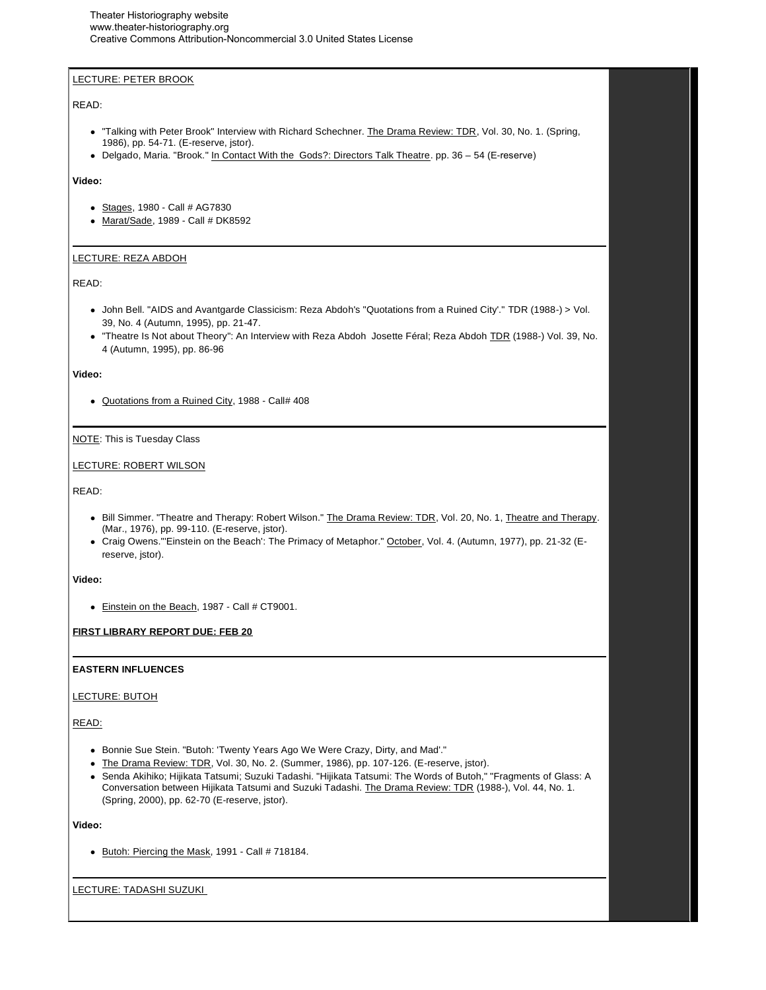# LECTURE: PETER BROOK

## READ:

- . "Talking with Peter Brook" Interview with Richard Schechner. The Drama Review: TDR, Vol. 30, No. 1. (Spring, 1986), pp. 54-71. (E-reserve, jstor).
- Delgado, Maria. "Brook." In Contact With the Gods?: Directors Talk Theatre. pp. 36 54 (E-reserve)

# **Video:**

- Stages, 1980 Call # AG7830
- Marat/Sade, 1989 Call # DK8592

# LECTURE: REZA ABDOH

### READ:

- John Bell. "AIDS and Avantgarde Classicism: Reza Abdoh's "Quotations from a Ruined City'." TDR (1988-) > Vol. 39, No. 4 (Autumn, 1995), pp. 21-47.
- "Theatre Is Not about Theory": An Interview with Reza Abdoh Josette Féral; Reza Abdoh TDR (1988-) Vol. 39, No. 4 (Autumn, 1995), pp. 86-96

#### **Video:**

Quotations from a Ruined City, 1988 - Call# 408

# NOTE: This is Tuesday Class

### LECTURE: ROBERT WILSON

### READ:

- Bill Simmer. "Theatre and Therapy: Robert Wilson." The Drama Review: TDR, Vol. 20, No. 1, Theatre and Therapy. (Mar., 1976), pp. 99-110. (E-reserve, jstor).
- Craig Owens."'Einstein on the Beach': The Primacy of Metaphor." October, Vol. 4. (Autumn, 1977), pp. 21-32 (Ereserve, jstor).

#### **Video:**

• Einstein on the Beach, 1987 - Call # CT9001.

# **FIRST LIBRARY REPORT DUE: FEB 20**

### **EASTERN INFLUENCES**

### LECTURE: BUTOH

# READ:

- Bonnie Sue Stein. "Butoh: 'Twenty Years Ago We Were Crazy, Dirty, and Mad'."
- The Drama Review: TDR, Vol. 30, No. 2. (Summer, 1986), pp. 107-126. (E-reserve, jstor).
- Senda Akihiko; Hijikata Tatsumi; Suzuki Tadashi. "Hijikata Tatsumi: The Words of Butoh," "Fragments of Glass: A Conversation between Hijikata Tatsumi and Suzuki Tadashi. The Drama Review: TDR (1988-), Vol. 44, No. 1. (Spring, 2000), pp. 62-70 (E-reserve, jstor).

# **Video:**

• Butoh: Piercing the Mask, 1991 - Call # 718184.

#### LECTURE: TADASHI SUZUKI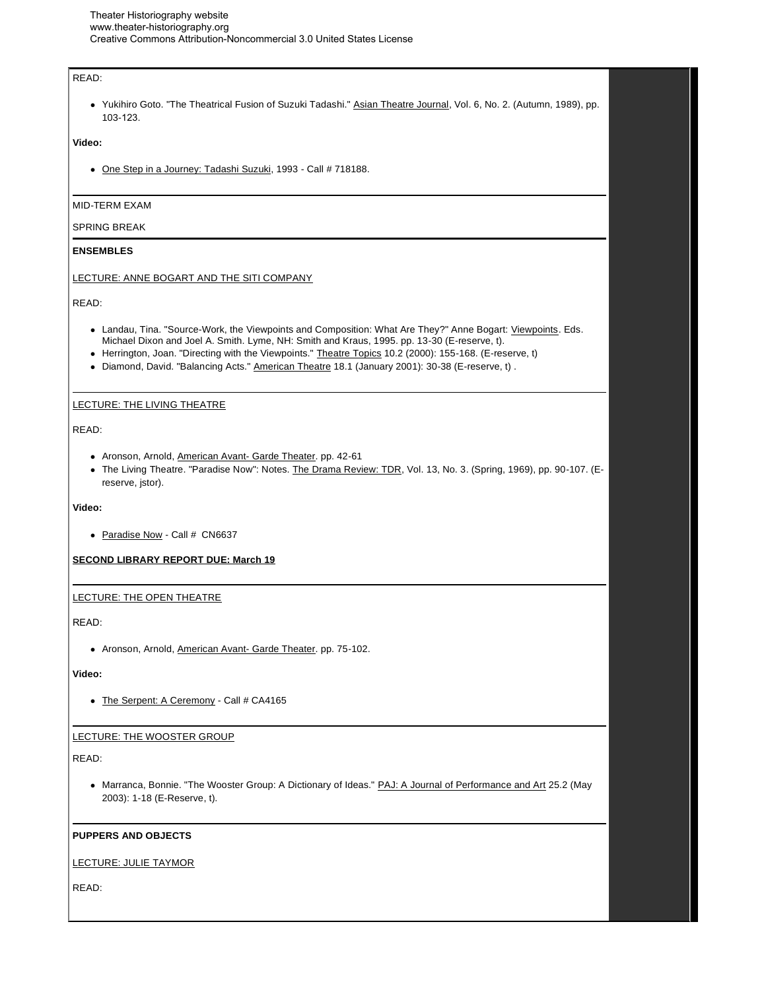# READ:

• Yukihiro Goto. "The Theatrical Fusion of Suzuki Tadashi." Asian Theatre Journal, Vol. 6, No. 2. (Autumn, 1989), pp. 103-123.

# **Video:**

• One Step in a Journey: Tadashi Suzuki, 1993 - Call # 718188.

# MID-TERM EXAM

### SPRING BREAK

### **ENSEMBLES**

### LECTURE: ANNE BOGART AND THE SITI COMPANY

READ:

- Landau, Tina. "Source-Work, the Viewpoints and Composition: What Are They?" Anne Bogart: Viewpoints. Eds. Michael Dixon and Joel A. Smith. Lyme, NH: Smith and Kraus, 1995. pp. 13-30 (E-reserve, t).
- Herrington, Joan. "Directing with the Viewpoints." Theatre Topics 10.2 (2000): 155-168. (E-reserve, t)
- Diamond, David. "Balancing Acts." American Theatre 18.1 (January 2001): 30-38 (E-reserve, t) .

### LECTURE: THE LIVING THEATRE

READ:

- Aronson, Arnold, American Avant- Garde Theater. pp. 42-61
- The Living Theatre. "Paradise Now": Notes. The Drama Review: TDR, Vol. 13, No. 3. (Spring, 1969), pp. 90-107. (Ereserve, jstor).

### **Video:**

• Paradise Now - Call # CN6637

### **SECOND LIBRARY REPORT DUE: March 19**

# LECTURE: THE OPEN THEATRE

READ:

• Aronson, Arnold, American Avant- Garde Theater. pp. 75-102.

### **Video:**

• The Serpent: A Ceremony - Call # CA4165

# LECTURE: THE WOOSTER GROUP

READ:

• Marranca, Bonnie. "The Wooster Group: A Dictionary of Ideas." PAJ: A Journal of Performance and Art 25.2 (May 2003): 1-18 (E-Reserve, t).

# **PUPPERS AND OBJECTS**

# LECTURE: JULIE TAYMOR

READ: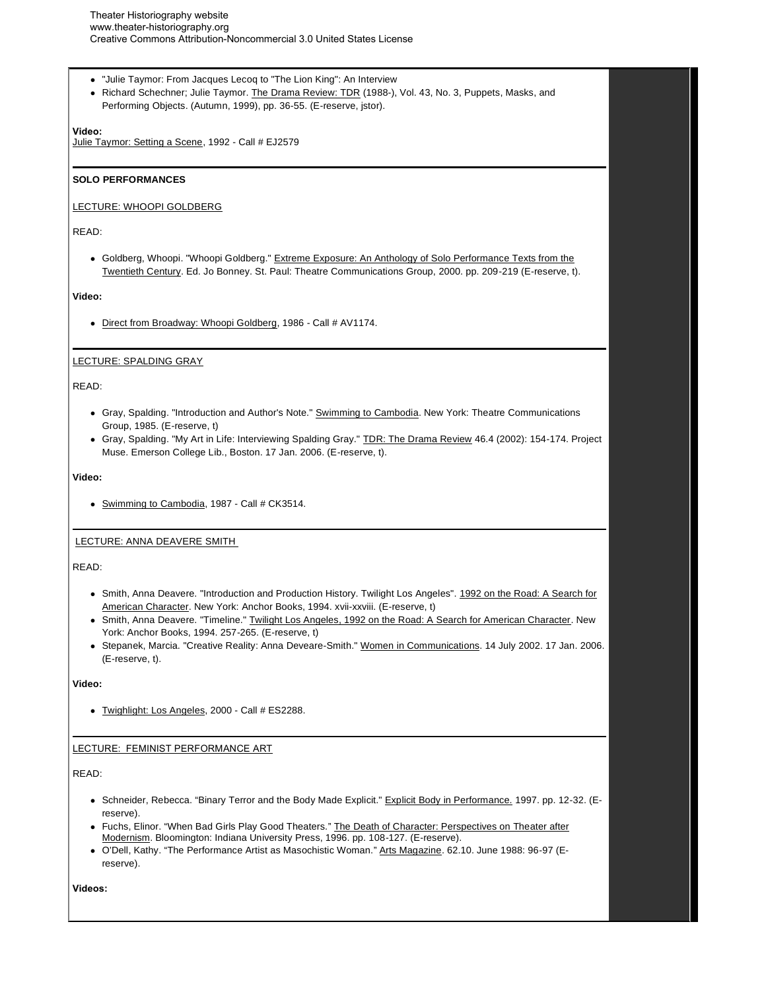- "Julie Taymor: From Jacques Lecoq to "The Lion King": An Interview
- Richard Schechner; Julie Taymor. The Drama Review: TDR (1988-), Vol. 43, No. 3, Puppets, Masks, and Performing Objects. (Autumn, 1999), pp. 36-55. (E-reserve, jstor).

# **Video:**

Julie Taymor: Setting a Scene, 1992 - Call # EJ2579

### **SOLO PERFORMANCES**

#### LECTURE: WHOOPI GOLDBERG

#### READ:

• Goldberg, Whoopi. "Whoopi Goldberg." Extreme Exposure: An Anthology of Solo Performance Texts from the Twentieth Century. Ed. Jo Bonney. St. Paul: Theatre Communications Group, 2000. pp. 209-219 (E-reserve, t).

#### **Video:**

Direct from Broadway: Whoopi Goldberg, 1986 - Call # AV1174.

### LECTURE: SPALDING GRAY

### READ:

- Gray, Spalding. "Introduction and Author's Note." Swimming to Cambodia. New York: Theatre Communications Group, 1985. (E-reserve, t)
- Gray, Spalding. "My Art in Life: Interviewing Spalding Gray." TDR: The Drama Review 46.4 (2002): 154-174. Project Muse. Emerson College Lib., Boston. 17 Jan. 2006. (E-reserve, t).

#### **Video:**

• Swimming to Cambodia, 1987 - Call # CK3514.

#### LECTURE: ANNA DEAVERE SMITH

#### READ:

- Smith, Anna Deavere. "Introduction and Production History. Twilight Los Angeles". 1992 on the Road: A Search for American Character. New York: Anchor Books, 1994. xvii-xxviii. (E-reserve, t)
- Smith, Anna Deavere. "Timeline." Twilight Los Angeles, 1992 on the Road: A Search for American Character. New York: Anchor Books, 1994. 257-265. (E-reserve, t)
- Stepanek, Marcia. "Creative Reality: Anna Deveare-Smith." Women in Communications. 14 July 2002. 17 Jan. 2006. (E-reserve, t).

#### **Video:**

Twighlight: Los Angeles, 2000 - Call # ES2288.

# LECTURE: FEMINIST PERFORMANCE ART

# READ:

- Schneider, Rebecca. "Binary Terror and the Body Made Explicit." Explicit Body in Performance. 1997. pp. 12-32. (Ereserve).
- Fuchs, Elinor. "When Bad Girls Play Good Theaters." The Death of Character: Perspectives on Theater after Modernism. Bloomington: Indiana University Press, 1996. pp. 108-127. (E-reserve).
- O'Dell, Kathy. "The Performance Artist as Masochistic Woman." Arts Magazine. 62.10. June 1988: 96-97 (Ereserve).

**Videos:**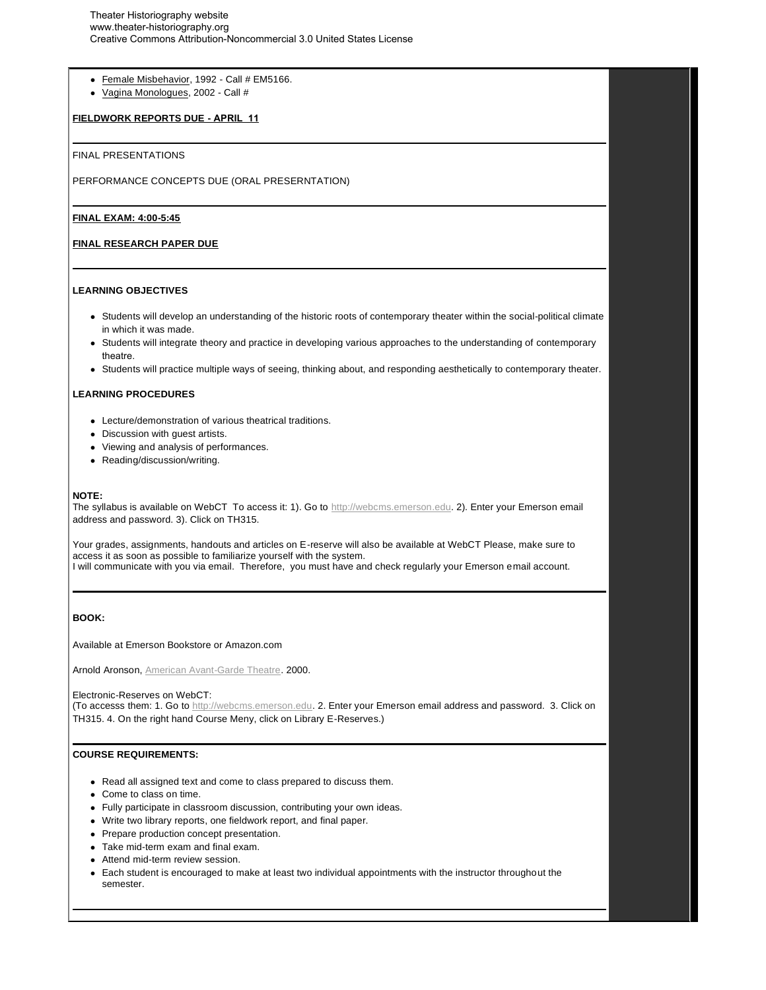- Female Misbehavior, 1992 Call # EM5166.
- Vagina Monologues, 2002 Call #

### **FIELDWORK REPORTS DUE - APRIL 11**

#### FINAL PRESENTATIONS

PERFORMANCE CONCEPTS DUE (ORAL PRESERNTATION)

#### **FINAL EXAM: 4:00-5:45**

#### **FINAL RESEARCH PAPER DUE**

### **LEARNING OBJECTIVES**

- Students will develop an understanding of the historic roots of contemporary theater within the social-political climate in which it was made.
- Students will integrate theory and practice in developing various approaches to the understanding of contemporary theatre.
- Students will practice multiple ways of seeing, thinking about, and responding aesthetically to contemporary theater.

### **LEARNING PROCEDURES**

- Lecture/demonstration of various theatrical traditions.
- Discussion with guest artists.
- Viewing and analysis of performances.
- Reading/discussion/writing.

#### **NOTE:**

The syllabus is available on WebCT To access it: 1). Go to http://webcms.emerson.edu. 2). Enter your Emerson email address and password. 3). Click on TH315.

Your grades, assignments, handouts and articles on E-reserve will also be available at WebCT Please, make sure to access it as soon as possible to familiarize yourself with the system. I will communicate with you via email. Therefore, you must have and check regularly your Emerson email account.

### **BOOK:**

Available at Emerson Bookstore or Amazon.com

Arnold Aronson, American Avant-Garde Theatre. 2000.

Electronic-Reserves on WebCT:

(To accesss them: 1. Go to http://webcms.emerson.edu. 2. Enter your Emerson email address and password. 3. Click on TH315. 4. On the right hand Course Meny, click on Library E-Reserves.)

### **COURSE REQUIREMENTS:**

- Read all assigned text and come to class prepared to discuss them.
- Come to class on time.
- Fully participate in classroom discussion, contributing your own ideas.
- Write two library reports, one fieldwork report, and final paper.
- Prepare production concept presentation.
- Take mid-term exam and final exam.
- Attend mid-term review session.
- Each student is encouraged to make at least two individual appointments with the instructor throughout the semester.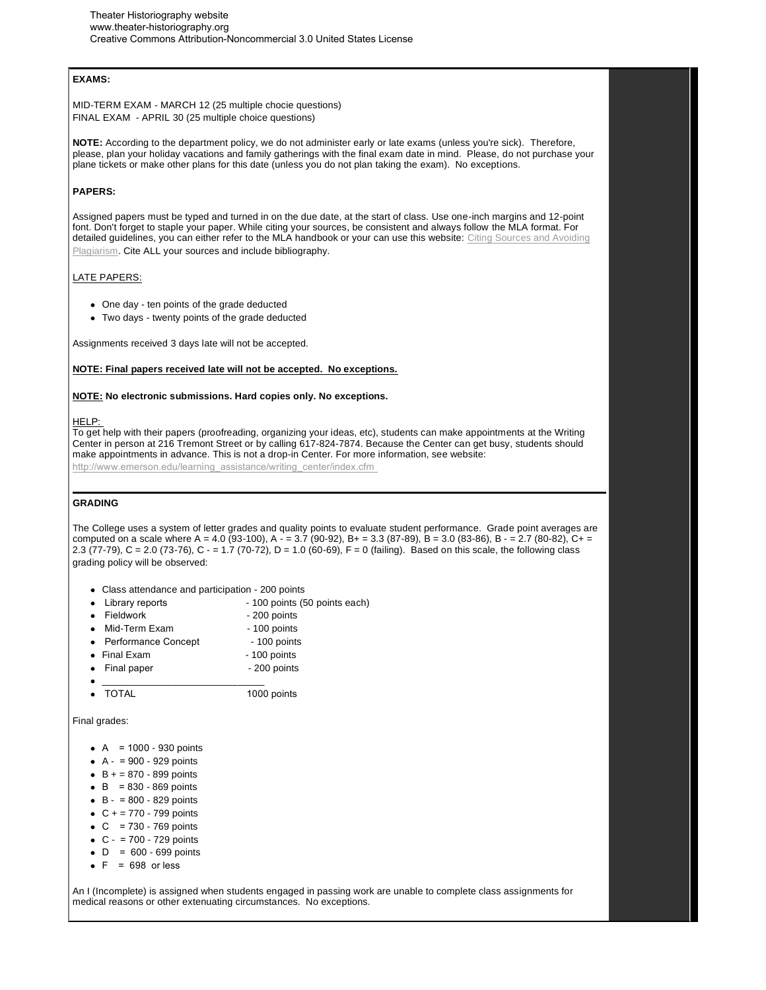## **EXAMS:**

MID-TERM EXAM - MARCH 12 (25 multiple chocie questions) FINAL EXAM - APRIL 30 (25 multiple choice questions)

**NOTE:** According to the department policy, we do not administer early or late exams (unless you're sick). Therefore, please, plan your holiday vacations and family gatherings with the final exam date in mind. Please, do not purchase your plane tickets or make other plans for this date (unless you do not plan taking the exam). No exceptions.

### **PAPERS:**

Assigned papers must be typed and turned in on the due date, at the start of class. Use one-inch margins and 12-point font. Don't forget to staple your paper. While citing your sources, be consistent and always follow the MLA format. For detailed guidelines, you can either refer to the MLA handbook or your can use this website: Citing Sources and Avoiding Plagiarism. Cite ALL your sources and include bibliography.

# LATE PAPERS:

- One day ten points of the grade deducted
- Two days twenty points of the grade deducted

Assignments received 3 days late will not be accepted.

### **NOTE: Final papers received late will not be accepted. No exceptions.**

#### **NOTE: No electronic submissions. Hard copies only. No exceptions.**

#### HELP:

To get help with their papers (proofreading, organizing your ideas, etc), students can make appointments at the Writing Center in person at 216 Tremont Street or by calling 617-824-7874. Because the Center can get busy, students should make appointments in advance. This is not a drop-in Center. For more information, see website:

http://www.emerson.edu/learning\_assistance/writing\_center/index.cfm

### **GRADING**

The College uses a system of letter grades and quality points to evaluate student performance. Grade point averages are computed on a scale where A = 4.0 (93-100), A  $-$  = 3.7 (90-92), B + = 3.3 (87-89), B = 3.0 (83-86), B  $-$  = 2.7 (80-82), C+ = 2.3 (77-79), C = 2.0 (73-76), C - = 1.7 (70-72), D = 1.0 (60-69), F = 0 (failing). Based on this scale, the following class grading policy will be observed:

- Class attendance and participation 200 points
- Library reports 100 points (50 points each)
- Fieldwork 200 points
- Mid-Term Exam 100 points
- Performance Concept 100 points
- Final Exam 100 points
- Final paper 200 points
- \_\_\_\_\_\_\_\_\_\_\_\_\_\_\_\_\_\_\_\_\_\_\_\_\_\_\_\_\_\_
- TOTAL 1000 points

#### Final grades:

- $\bullet$  A = 1000 930 points
- $A 900 929$  points
- $-B + = 870 899$  points
- $\bullet$  B = 830 869 points
- $\bullet$  B = 800 829 points
- $C + 770 799$  points
- $\bullet$  C = 730 769 points
- $\bullet$  C = 700 729 points
- $\bullet$  D = 600 699 points
- $\bullet$  F = 698 or less

An I (Incomplete) is assigned when students engaged in passing work are unable to complete class assignments for medical reasons or other extenuating circumstances. No exceptions.